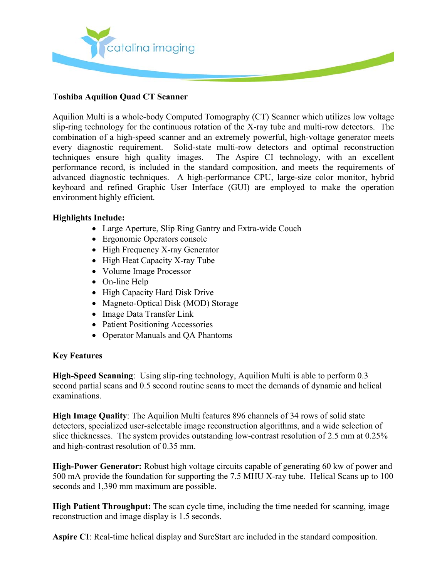

## **Toshiba Aquilion Quad CT Scanner**

Aquilion Multi is a whole-body Computed Tomography (CT) Scanner which utilizes low voltage slip-ring technology for the continuous rotation of the X-ray tube and multi-row detectors. The combination of a high-speed scanner and an extremely powerful, high-voltage generator meets every diagnostic requirement. Solid-state multi-row detectors and optimal reconstruction techniques ensure high quality images. The Aspire CI technology, with an excellent performance record, is included in the standard composition, and meets the requirements of advanced diagnostic techniques. A high-performance CPU, large-size color monitor, hybrid keyboard and refined Graphic User Interface (GUI) are employed to make the operation environment highly efficient.

### **Highlights Include:**

- Large Aperture, Slip Ring Gantry and Extra-wide Couch
- Ergonomic Operators console
- High Frequency X-ray Generator
- High Heat Capacity X-ray Tube
- Volume Image Processor
- On-line Help
- High Capacity Hard Disk Drive
- Magneto-Optical Disk (MOD) Storage
- Image Data Transfer Link
- Patient Positioning Accessories
- Operator Manuals and QA Phantoms

#### **Key Features**

**High-Speed Scanning**: Using slip-ring technology, Aquilion Multi is able to perform 0.3 second partial scans and 0.5 second routine scans to meet the demands of dynamic and helical examinations.

**High Image Quality**: The Aquilion Multi features 896 channels of 34 rows of solid state detectors, specialized user-selectable image reconstruction algorithms, and a wide selection of slice thicknesses. The system provides outstanding low-contrast resolution of 2.5 mm at 0.25% and high-contrast resolution of 0.35 mm.

**High-Power Generator:** Robust high voltage circuits capable of generating 60 kw of power and 500 mA provide the foundation for supporting the 7.5 MHU X-ray tube. Helical Scans up to 100 seconds and 1,390 mm maximum are possible.

**High Patient Throughput:** The scan cycle time, including the time needed for scanning, image reconstruction and image display is 1.5 seconds.

**Aspire CI**: Real-time helical display and SureStart are included in the standard composition.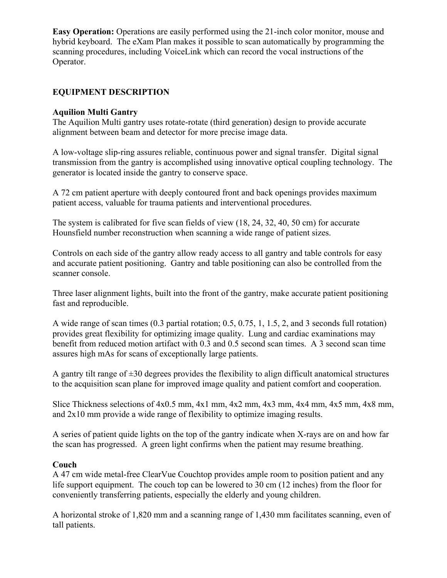**Easy Operation:** Operations are easily performed using the 21-inch color monitor, mouse and hybrid keyboard. The eXam Plan makes it possible to scan automatically by programming the scanning procedures, including VoiceLink which can record the vocal instructions of the Operator.

## **EQUIPMENT DESCRIPTION**

### **Aquilion Multi Gantry**

The Aquilion Multi gantry uses rotate-rotate (third generation) design to provide accurate alignment between beam and detector for more precise image data.

A low-voltage slip-ring assures reliable, continuous power and signal transfer. Digital signal transmission from the gantry is accomplished using innovative optical coupling technology. The generator is located inside the gantry to conserve space.

A 72 cm patient aperture with deeply contoured front and back openings provides maximum patient access, valuable for trauma patients and interventional procedures.

The system is calibrated for five scan fields of view (18, 24, 32, 40, 50 cm) for accurate Hounsfield number reconstruction when scanning a wide range of patient sizes.

Controls on each side of the gantry allow ready access to all gantry and table controls for easy and accurate patient positioning. Gantry and table positioning can also be controlled from the scanner console.

Three laser alignment lights, built into the front of the gantry, make accurate patient positioning fast and reproducible.

A wide range of scan times (0.3 partial rotation; 0.5, 0.75, 1, 1.5, 2, and 3 seconds full rotation) provides great flexibility for optimizing image quality. Lung and cardiac examinations may benefit from reduced motion artifact with 0.3 and 0.5 second scan times. A 3 second scan time assures high mAs for scans of exceptionally large patients.

A gantry tilt range of  $\pm 30$  degrees provides the flexibility to align difficult anatomical structures to the acquisition scan plane for improved image quality and patient comfort and cooperation.

Slice Thickness selections of 4x0.5 mm, 4x1 mm, 4x2 mm, 4x3 mm, 4x4 mm, 4x5 mm, 4x8 mm, and 2x10 mm provide a wide range of flexibility to optimize imaging results.

A series of patient quide lights on the top of the gantry indicate when X-rays are on and how far the scan has progressed. A green light confirms when the patient may resume breathing.

#### **Couch**

A 47 cm wide metal-free ClearVue Couchtop provides ample room to position patient and any life support equipment. The couch top can be lowered to 30 cm (12 inches) from the floor for conveniently transferring patients, especially the elderly and young children.

A horizontal stroke of 1,820 mm and a scanning range of 1,430 mm facilitates scanning, even of tall patients.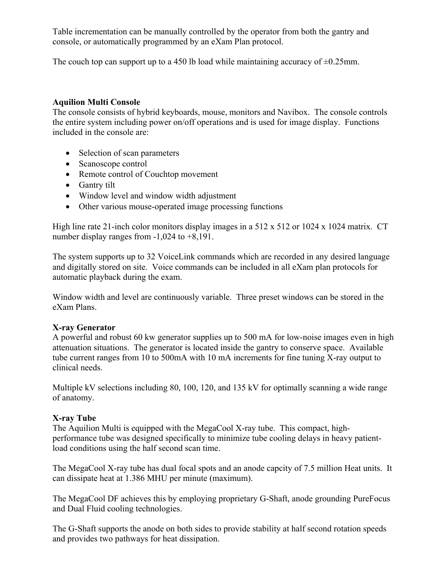Table incrementation can be manually controlled by the operator from both the gantry and console, or automatically programmed by an eXam Plan protocol.

The couch top can support up to a 450 lb load while maintaining accuracy of  $\pm 0.25$ mm.

## **Aquilion Multi Console**

The console consists of hybrid keyboards, mouse, monitors and Navibox. The console controls the entire system including power on/off operations and is used for image display. Functions included in the console are:

- Selection of scan parameters
- Scanoscope control
- Remote control of Couchtop movement
- Gantry tilt
- Window level and window width adjustment
- Other various mouse-operated image processing functions

High line rate 21-inch color monitors display images in a  $512 \times 512$  or 1024 x 1024 matrix. CT number display ranges from -1,024 to +8,191.

The system supports up to 32 VoiceLink commands which are recorded in any desired language and digitally stored on site. Voice commands can be included in all eXam plan protocols for automatic playback during the exam.

Window width and level are continuously variable. Three preset windows can be stored in the eXam Plans.

## **X-ray Generator**

A powerful and robust 60 kw generator supplies up to 500 mA for low-noise images even in high attenuation situations. The generator is located inside the gantry to conserve space. Available tube current ranges from 10 to 500mA with 10 mA increments for fine tuning X-ray output to clinical needs.

Multiple kV selections including 80, 100, 120, and 135 kV for optimally scanning a wide range of anatomy.

## **X-ray Tube**

The Aquilion Multi is equipped with the MegaCool X-ray tube. This compact, highperformance tube was designed specifically to minimize tube cooling delays in heavy patientload conditions using the half second scan time.

The MegaCool X-ray tube has dual focal spots and an anode capcity of 7.5 million Heat units. It can dissipate heat at 1.386 MHU per minute (maximum).

The MegaCool DF achieves this by employing proprietary G-Shaft, anode grounding PureFocus and Dual Fluid cooling technologies.

The G-Shaft supports the anode on both sides to provide stability at half second rotation speeds and provides two pathways for heat dissipation.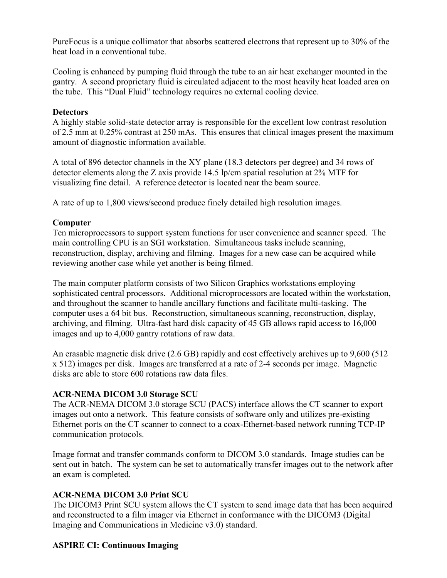PureFocus is a unique collimator that absorbs scattered electrons that represent up to 30% of the heat load in a conventional tube.

Cooling is enhanced by pumping fluid through the tube to an air heat exchanger mounted in the gantry. A second proprietary fluid is circulated adjacent to the most heavily heat loaded area on the tube. This "Dual Fluid" technology requires no external cooling device.

## **Detectors**

A highly stable solid-state detector array is responsible for the excellent low contrast resolution of 2.5 mm at 0.25% contrast at 250 mAs. This ensures that clinical images present the maximum amount of diagnostic information available.

A total of 896 detector channels in the XY plane (18.3 detectors per degree) and 34 rows of detector elements along the Z axis provide 14.5 lp/cm spatial resolution at 2% MTF for visualizing fine detail. A reference detector is located near the beam source.

A rate of up to 1,800 views/second produce finely detailed high resolution images.

# **Computer**

Ten microprocessors to support system functions for user convenience and scanner speed. The main controlling CPU is an SGI workstation. Simultaneous tasks include scanning, reconstruction, display, archiving and filming. Images for a new case can be acquired while reviewing another case while yet another is being filmed.

The main computer platform consists of two Silicon Graphics workstations employing sophisticated central processors. Additional microprocessors are located within the workstation, and throughout the scanner to handle ancillary functions and facilitate multi-tasking. The computer uses a 64 bit bus. Reconstruction, simultaneous scanning, reconstruction, display, archiving, and filming. Ultra-fast hard disk capacity of 45 GB allows rapid access to 16,000 images and up to 4,000 gantry rotations of raw data.

An erasable magnetic disk drive (2.6 GB) rapidly and cost effectively archives up to 9,600 (512 x 512) images per disk. Images are transferred at a rate of 2-4 seconds per image. Magnetic disks are able to store 600 rotations raw data files.

# **ACR-NEMA DICOM 3.0 Storage SCU**

The ACR-NEMA DICOM 3.0 storage SCU (PACS) interface allows the CT scanner to export images out onto a network. This feature consists of software only and utilizes pre-existing Ethernet ports on the CT scanner to connect to a coax-Ethernet-based network running TCP-IP communication protocols.

Image format and transfer commands conform to DICOM 3.0 standards. Image studies can be sent out in batch. The system can be set to automatically transfer images out to the network after an exam is completed.

# **ACR-NEMA DICOM 3.0 Print SCU**

The DICOM3 Print SCU system allows the CT system to send image data that has been acquired and reconstructed to a film imager via Ethernet in conformance with the DICOM3 (Digital Imaging and Communications in Medicine v3.0) standard.

# **ASPIRE CI: Continuous Imaging**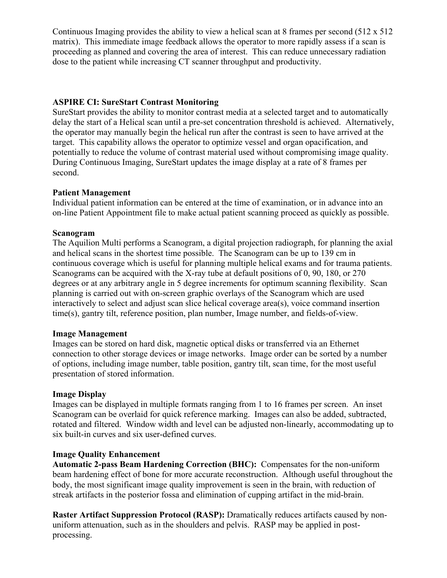Continuous Imaging provides the ability to view a helical scan at 8 frames per second (512 x 512 matrix). This immediate image feedback allows the operator to more rapidly assess if a scan is proceeding as planned and covering the area of interest. This can reduce unnecessary radiation dose to the patient while increasing CT scanner throughput and productivity.

## **ASPIRE CI: SureStart Contrast Monitoring**

SureStart provides the ability to monitor contrast media at a selected target and to automatically delay the start of a Helical scan until a pre-set concentration threshold is achieved. Alternatively, the operator may manually begin the helical run after the contrast is seen to have arrived at the target. This capability allows the operator to optimize vessel and organ opacification, and potentially to reduce the volume of contrast material used without compromising image quality. During Continuous Imaging, SureStart updates the image display at a rate of 8 frames per second.

### **Patient Management**

Individual patient information can be entered at the time of examination, or in advance into an on-line Patient Appointment file to make actual patient scanning proceed as quickly as possible.

### **Scanogram**

The Aquilion Multi performs a Scanogram, a digital projection radiograph, for planning the axial and helical scans in the shortest time possible. The Scanogram can be up to 139 cm in continuous coverage which is useful for planning multiple helical exams and for trauma patients. Scanograms can be acquired with the X-ray tube at default positions of 0, 90, 180, or 270 degrees or at any arbitrary angle in 5 degree increments for optimum scanning flexibility. Scan planning is carried out with on-screen graphic overlays of the Scanogram which are used interactively to select and adjust scan slice helical coverage area(s), voice command insertion time(s), gantry tilt, reference position, plan number, Image number, and fields-of-view.

#### **Image Management**

Images can be stored on hard disk, magnetic optical disks or transferred via an Ethernet connection to other storage devices or image networks. Image order can be sorted by a number of options, including image number, table position, gantry tilt, scan time, for the most useful presentation of stored information.

## **Image Display**

Images can be displayed in multiple formats ranging from 1 to 16 frames per screen. An inset Scanogram can be overlaid for quick reference marking. Images can also be added, subtracted, rotated and filtered. Window width and level can be adjusted non-linearly, accommodating up to six built-in curves and six user-defined curves.

#### **Image Quality Enhancement**

**Automatic 2-pass Beam Hardening Correction (BHC):** Compensates for the non-uniform beam hardening effect of bone for more accurate reconstruction. Although useful throughout the body, the most significant image quality improvement is seen in the brain, with reduction of streak artifacts in the posterior fossa and elimination of cupping artifact in the mid-brain.

**Raster Artifact Suppression Protocol (RASP):** Dramatically reduces artifacts caused by nonuniform attenuation, such as in the shoulders and pelvis. RASP may be applied in postprocessing.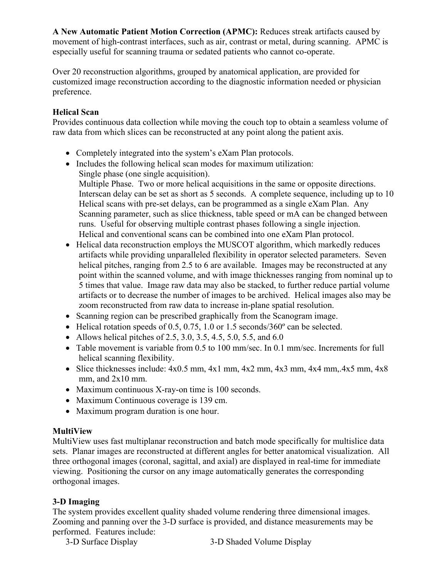**A New Automatic Patient Motion Correction (APMC):** Reduces streak artifacts caused by movement of high-contrast interfaces, such as air, contrast or metal, during scanning. APMC is especially useful for scanning trauma or sedated patients who cannot co-operate.

Over 20 reconstruction algorithms, grouped by anatomical application, are provided for customized image reconstruction according to the diagnostic information needed or physician preference.

## **Helical Scan**

Provides continuous data collection while moving the couch top to obtain a seamless volume of raw data from which slices can be reconstructed at any point along the patient axis.

- Completely integrated into the system's eXam Plan protocols.
- Includes the following helical scan modes for maximum utilization: Single phase (one single acquisition). Multiple Phase. Two or more helical acquisitions in the same or opposite directions. Interscan delay can be set as short as 5 seconds. A complete sequence, including up to 10 Helical scans with pre-set delays, can be programmed as a single eXam Plan. Any Scanning parameter, such as slice thickness, table speed or mA can be changed between runs. Useful for observing multiple contrast phases following a single injection. Helical and conventional scans can be combined into one eXam Plan protocol.
- Helical data reconstruction employs the MUSCOT algorithm, which markedly reduces artifacts while providing unparalleled flexibility in operator selected parameters. Seven helical pitches, ranging from 2.5 to 6 are available. Images may be reconstructed at any point within the scanned volume, and with image thicknesses ranging from nominal up to 5 times that value. Image raw data may also be stacked, to further reduce partial volume artifacts or to decrease the number of images to be archived. Helical images also may be zoom reconstructed from raw data to increase in-plane spatial resolution.
- Scanning region can be prescribed graphically from the Scanogram image.
- Helical rotation speeds of 0.5, 0.75, 1.0 or 1.5 seconds/360 $^{\circ}$  can be selected.
- Allows helical pitches of 2.5, 3.0, 3.5, 4.5, 5.0, 5.5, and 6.0
- Table movement is variable from 0.5 to 100 mm/sec. In 0.1 mm/sec. Increments for full helical scanning flexibility.
- Slice thicknesses include:  $4x0.5$  mm,  $4x1$  mm,  $4x2$  mm,  $4x3$  mm,  $4x4$  mm,  $4x5$  mm,  $4x8$ mm, and  $2x10$  mm.
- Maximum continuous X-ray-on time is 100 seconds.
- Maximum Continuous coverage is 139 cm.
- Maximum program duration is one hour.

# **MultiView**

MultiView uses fast multiplanar reconstruction and batch mode specifically for multislice data sets. Planar images are reconstructed at different angles for better anatomical visualization. All three orthogonal images (coronal, sagittal, and axial) are displayed in real-time for immediate viewing. Positioning the cursor on any image automatically generates the corresponding orthogonal images.

# **3-D Imaging**

The system provides excellent quality shaded volume rendering three dimensional images. Zooming and panning over the 3-D surface is provided, and distance measurements may be performed. Features include:

3-D Surface Display 3-D Shaded Volume Display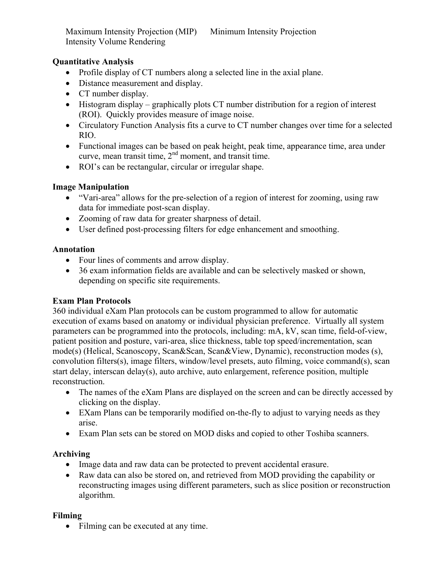Maximum Intensity Projection (MIP) Minimum Intensity Projection Intensity Volume Rendering

## **Quantitative Analysis**

- Profile display of CT numbers along a selected line in the axial plane.
- Distance measurement and display.
- CT number display.
- Histogram display graphically plots CT number distribution for a region of interest (ROI). Quickly provides measure of image noise.
- Circulatory Function Analysis fits a curve to CT number changes over time for a selected RIO.
- Functional images can be based on peak height, peak time, appearance time, area under curve, mean transit time,  $2<sup>nd</sup>$  moment, and transit time.
- ROI's can be rectangular, circular or irregular shape.

### **Image Manipulation**

- "Vari-area" allows for the pre-selection of a region of interest for zooming, using raw data for immediate post-scan display.
- Zooming of raw data for greater sharpness of detail.
- User defined post-processing filters for edge enhancement and smoothing.

### **Annotation**

- Four lines of comments and arrow display.
- 36 exam information fields are available and can be selectively masked or shown, depending on specific site requirements.

## **Exam Plan Protocols**

360 individual eXam Plan protocols can be custom programmed to allow for automatic execution of exams based on anatomy or individual physician preference. Virtually all system parameters can be programmed into the protocols, including: mA, kV, scan time, field-of-view, patient position and posture, vari-area, slice thickness, table top speed/incrementation, scan mode(s) (Helical, Scanoscopy, Scan&Scan, Scan&View, Dynamic), reconstruction modes (s), convolution filters(s), image filters, window/level presets, auto filming, voice command(s), scan start delay, interscan delay(s), auto archive, auto enlargement, reference position, multiple reconstruction.

- The names of the eXam Plans are displayed on the screen and can be directly accessed by clicking on the display.
- EXam Plans can be temporarily modified on-the-fly to adjust to varying needs as they arise.
- Exam Plan sets can be stored on MOD disks and copied to other Toshiba scanners.

## **Archiving**

- Image data and raw data can be protected to prevent accidental erasure.
- Raw data can also be stored on, and retrieved from MOD providing the capability or reconstructing images using different parameters, such as slice position or reconstruction algorithm.

## **Filming**

• Filming can be executed at any time.